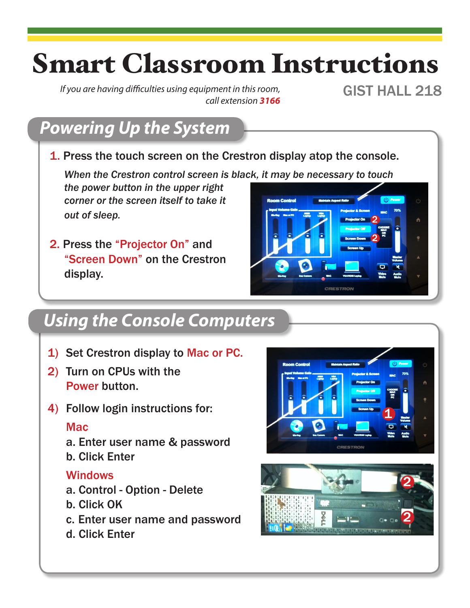## Smart Classroom Instructions

*If you are having difficulties using equipment in this room, call extension 3166*

GIST HALL 218

## *Powering Up the System*

1. Press the touch screen on the Crestron display atop the console.

*When the Crestron control screen is black, it may be necessary to touch* 

*the power button in the upper right corner or the screen itself to take it out of sleep.*

2. Press the "Projector On" and "Screen Down" on the Crestron display.



#### *Using the Console Computers*

- 1) Set Crestron display to Mac or PC.
- 2) Turn on CPUs with the Power button.
- 4) Follow login instructions for:

#### Mac

- a. Enter user name & password
- b. Click Enter

#### **Windows**

- a. Control Option Delete
- b. Click OK
- c. Enter user name and password
- d. Click Enter



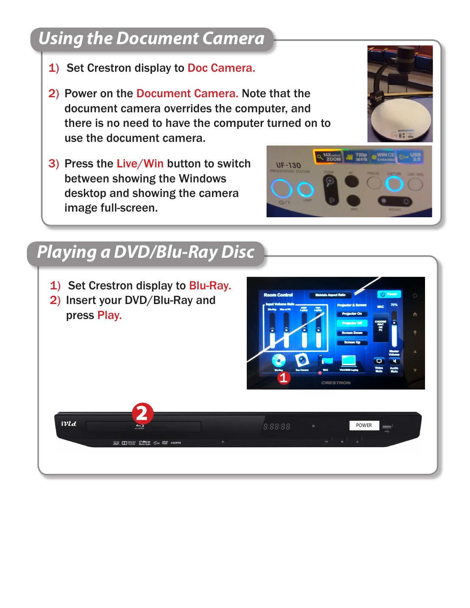#### *Using the Document Camera*

- 1) Set Crestron display to Doc Camera.
- 2) Power on the Document Camera. Note that the document camera overrides the computer, and there is no need to have the computer turned on to use the document camera.
- 3) Press the Live/Win button to switch between showing the Windows desktop and showing the camera image full-screen.



#### *Playing a DVD/Blu-Ray Disc*

- 1) Set Crestron display to Blu-Ray.
- 2) Insert your DVD/Blu-Ray and press Play.



**UF-130** 

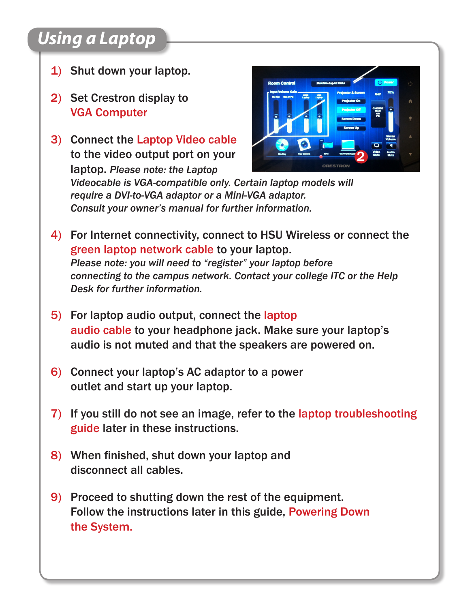## *Using a Laptop*

- 1) Shut down your laptop.
- 2) Set Crestron display to VGA Computer
- 3) Connect the Laptop Video cable to the video output port on your laptop. *Please note: the Laptop*



*Videocable is VGA-compatible only. Certain laptop models will require a DVI-to-VGA adaptor or a Mini-VGA adaptor. Consult your owner's manual for further information.*

- 4) For Internet connectivity, connect to HSU Wireless or connect the green laptop network cable to your laptop. *Please note: you will need to "register" your laptop before connecting to the campus network. Contact your college ITC or the Help Desk for further information.*
- 5) For laptop audio output, connect the laptop audio cable to your headphone jack. Make sure your laptop's audio is not muted and that the speakers are powered on.
- 6) Connect your laptop's AC adaptor to a power outlet and start up your laptop.
- 7) If you still do not see an image, refer to the laptop troubleshooting guide later in these instructions.
- 8) When finished, shut down your laptop and disconnect all cables.
- 9) Proceed to shutting down the rest of the equipment. Follow the instructions later in this guide, Powering Down the System.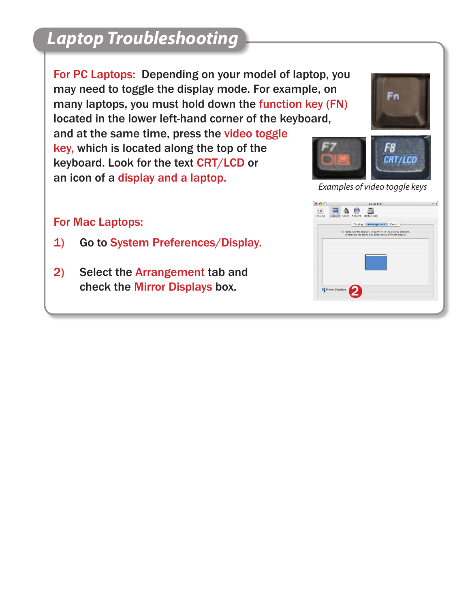### *Laptop Troubleshooting*

For PC Laptops: Depending on your model of laptop, you may need to toggle the display mode. For example, on many laptops, you must hold down the function key (FN) located in the lower left-hand corner of the keyboard,

and at the same time, press the video toggle key, which is located along the top of the keyboard. Look for the text CRT/LCD or an icon of a display and a laptop.

# Fn



*Examples of video toggle keys*

#### For Mac Laptops:

- 1) Go to System Preferences/Display.
- 2) Select the Arrangement tab and check the Mirror Displays box.

| Show All        | <b>Displays</b> | Sound | Network        | <b>Startup Disk</b>                                                                                                        |       |  |  |
|-----------------|-----------------|-------|----------------|----------------------------------------------------------------------------------------------------------------------------|-------|--|--|
|                 |                 |       | <b>Display</b> | Arrangement                                                                                                                | Color |  |  |
|                 |                 |       |                | To rearrange the displays, drag them to the desired position.<br>To relocate the menu bar, drag it to a different display. |       |  |  |
|                 |                 |       |                |                                                                                                                            |       |  |  |
|                 |                 |       |                |                                                                                                                            |       |  |  |
|                 |                 |       |                |                                                                                                                            |       |  |  |
|                 |                 |       |                |                                                                                                                            |       |  |  |
|                 |                 |       |                |                                                                                                                            |       |  |  |
|                 |                 |       |                |                                                                                                                            |       |  |  |
|                 |                 |       |                |                                                                                                                            |       |  |  |
|                 |                 |       |                |                                                                                                                            |       |  |  |
| Mirror Displays |                 |       |                |                                                                                                                            |       |  |  |
|                 |                 |       |                |                                                                                                                            |       |  |  |